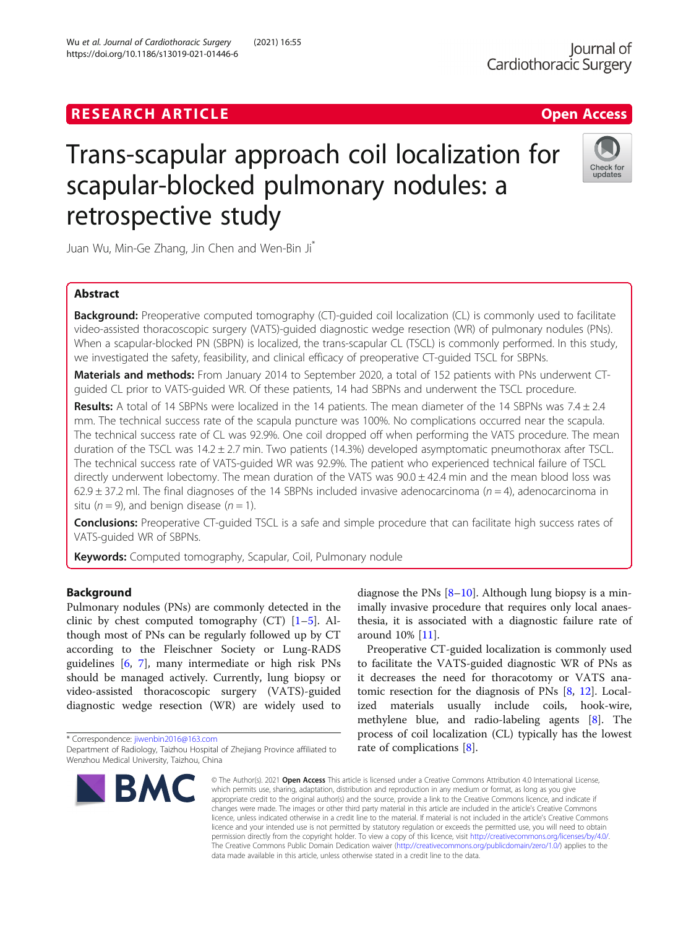# **RESEARCH ARTICLE Example 2018 12:30 The Contract of Contract ACCESS**

# Trans-scapular approach coil localization for scapular-blocked pulmonary nodules: a retrospective study

Juan Wu, Min-Ge Zhang, Jin Chen and Wen-Bin Ji\*

# Abstract

**Background:** Preoperative computed tomography (CT)-guided coil localization (CL) is commonly used to facilitate video-assisted thoracoscopic surgery (VATS)-guided diagnostic wedge resection (WR) of pulmonary nodules (PNs). When a scapular-blocked PN (SBPN) is localized, the trans-scapular CL (TSCL) is commonly performed. In this study, we investigated the safety, feasibility, and clinical efficacy of preoperative CT-guided TSCL for SBPNs.

Materials and methods: From January 2014 to September 2020, a total of 152 patients with PNs underwent CTguided CL prior to VATS-guided WR. Of these patients, 14 had SBPNs and underwent the TSCL procedure.

Results: A total of 14 SBPNs were localized in the 14 patients. The mean diameter of the 14 SBPNs was  $7.4 \pm 2.4$ mm. The technical success rate of the scapula puncture was 100%. No complications occurred near the scapula. The technical success rate of CL was 92.9%. One coil dropped off when performing the VATS procedure. The mean duration of the TSCL was 14.2 ± 2.7 min. Two patients (14.3%) developed asymptomatic pneumothorax after TSCL. The technical success rate of VATS-guided WR was 92.9%. The patient who experienced technical failure of TSCL directly underwent lobectomy. The mean duration of the VATS was  $90.0 \pm 42.4$  min and the mean blood loss was 62.9  $\pm$  37.2 ml. The final diagnoses of the 14 SBPNs included invasive adenocarcinoma (n = 4), adenocarcinoma in situ ( $n = 9$ ), and benign disease ( $n = 1$ ).

**Conclusions:** Preoperative CT-quided TSCL is a safe and simple procedure that can facilitate high success rates of VATS-guided WR of SBPNs.

Keywords: Computed tomography, Scapular, Coil, Pulmonary nodule

# Background

Pulmonary nodules (PNs) are commonly detected in the clinic by chest computed tomography  $(CT)$  [\[1](#page-4-0)–[5](#page-4-0)]. Although most of PNs can be regularly followed up by CT according to the Fleischner Society or Lung-RADS guidelines [[6,](#page-4-0) [7\]](#page-4-0), many intermediate or high risk PNs should be managed actively. Currently, lung biopsy or video-assisted thoracoscopic surgery (VATS)-guided diagnostic wedge resection (WR) are widely used to

\* Correspondence: [jiwenbin2016@163.com](mailto:jiwenbin2016@163.com)

**BMC** 

diagnose the PNs  $[8-10]$  $[8-10]$  $[8-10]$  $[8-10]$ . Although lung biopsy is a minimally invasive procedure that requires only local anaesthesia, it is associated with a diagnostic failure rate of around 10% [[11](#page-4-0)].

Preoperative CT-guided localization is commonly used to facilitate the VATS-guided diagnostic WR of PNs as it decreases the need for thoracotomy or VATS anatomic resection for the diagnosis of PNs [[8,](#page-4-0) [12\]](#page-4-0). Localized materials usually include coils, hook-wire, methylene blue, and radio-labeling agents [[8](#page-4-0)]. The process of coil localization (CL) typically has the lowest rate of complications [\[8](#page-4-0)].

© The Author(s), 2021 **Open Access** This article is licensed under a Creative Commons Attribution 4.0 International License, which permits use, sharing, adaptation, distribution and reproduction in any medium or format, as long as you give appropriate credit to the original author(s) and the source, provide a link to the Creative Commons licence, and indicate if changes were made. The images or other third party material in this article are included in the article's Creative Commons licence, unless indicated otherwise in a credit line to the material. If material is not included in the article's Creative Commons licence and your intended use is not permitted by statutory regulation or exceeds the permitted use, you will need to obtain permission directly from the copyright holder. To view a copy of this licence, visit [http://creativecommons.org/licenses/by/4.0/.](http://creativecommons.org/licenses/by/4.0/) The Creative Commons Public Domain Dedication waiver [\(http://creativecommons.org/publicdomain/zero/1.0/](http://creativecommons.org/publicdomain/zero/1.0/)) applies to the data made available in this article, unless otherwise stated in a credit line to the data.



Department of Radiology, Taizhou Hospital of Zhejiang Province affiliated to Wenzhou Medical University, Taizhou, China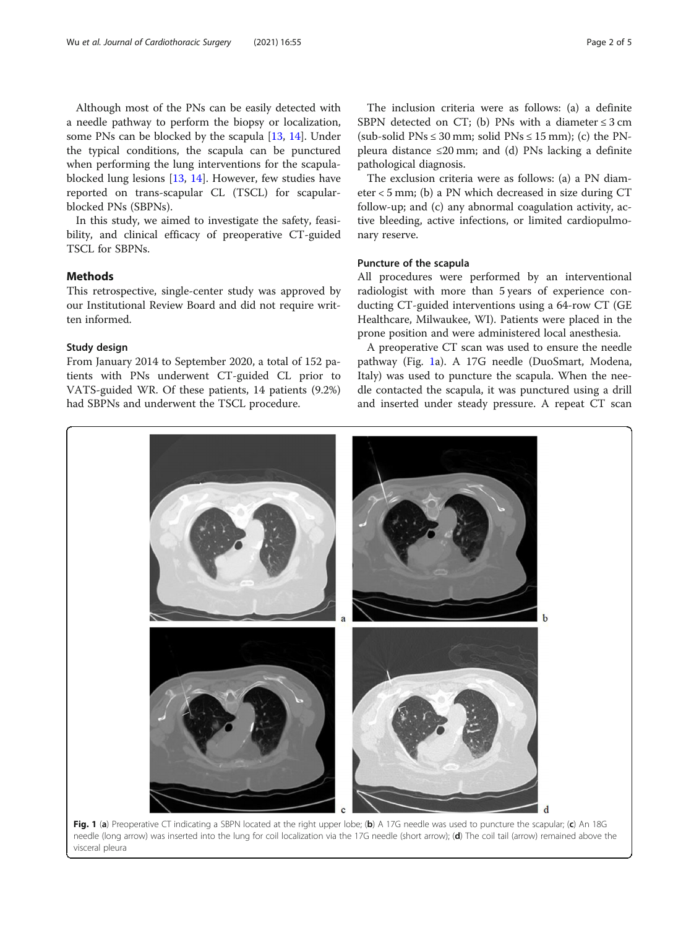<span id="page-1-0"></span>Although most of the PNs can be easily detected with a needle pathway to perform the biopsy or localization, some PNs can be blocked by the scapula [\[13](#page-4-0), [14](#page-4-0)]. Under the typical conditions, the scapula can be punctured when performing the lung interventions for the scapulablocked lung lesions [\[13,](#page-4-0) [14](#page-4-0)]. However, few studies have reported on trans-scapular CL (TSCL) for scapularblocked PNs (SBPNs).

In this study, we aimed to investigate the safety, feasibility, and clinical efficacy of preoperative CT-guided TSCL for SBPNs.

# **Methods**

This retrospective, single-center study was approved by our Institutional Review Board and did not require written informed.

# Study design

From January 2014 to September 2020, a total of 152 patients with PNs underwent CT-guided CL prior to VATS-guided WR. Of these patients, 14 patients (9.2%) had SBPNs and underwent the TSCL procedure.

The inclusion criteria were as follows: (a) a definite SBPN detected on CT; (b) PNs with a diameter  $\leq$  3 cm (sub-solid PNs  $\leq 30$  mm; solid PNs  $\leq 15$  mm); (c) the PNpleura distance  $\leq 20$  mm; and (d) PNs lacking a definite pathological diagnosis.

The exclusion criteria were as follows: (a) a PN diameter < 5 mm; (b) a PN which decreased in size during CT follow-up; and (c) any abnormal coagulation activity, active bleeding, active infections, or limited cardiopulmonary reserve.

# Puncture of the scapula

All procedures were performed by an interventional radiologist with more than 5 years of experience conducting CT-guided interventions using a 64-row CT (GE Healthcare, Milwaukee, WI). Patients were placed in the prone position and were administered local anesthesia.

A preoperative CT scan was used to ensure the needle pathway (Fig. 1a). A 17G needle (DuoSmart, Modena, Italy) was used to puncture the scapula. When the needle contacted the scapula, it was punctured using a drill and inserted under steady pressure. A repeat CT scan

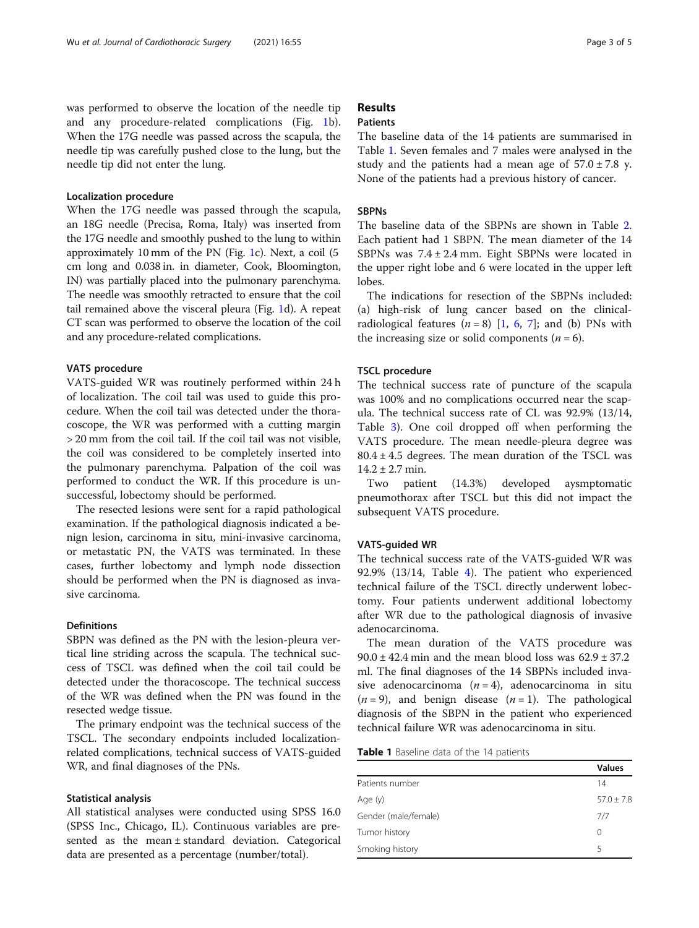was performed to observe the location of the needle tip and any procedure-related complications (Fig. [1](#page-1-0)b). When the 17G needle was passed across the scapula, the needle tip was carefully pushed close to the lung, but the needle tip did not enter the lung.

# Localization procedure

When the 17G needle was passed through the scapula, an 18G needle (Precisa, Roma, Italy) was inserted from the 17G needle and smoothly pushed to the lung to within approximately 10 mm of the PN (Fig. [1](#page-1-0)c). Next, a coil (5 cm long and 0.038 in. in diameter, Cook, Bloomington, IN) was partially placed into the pulmonary parenchyma. The needle was smoothly retracted to ensure that the coil tail remained above the visceral pleura (Fig. [1](#page-1-0)d). A repeat CT scan was performed to observe the location of the coil and any procedure-related complications.

# VATS procedure

VATS-guided WR was routinely performed within 24 h of localization. The coil tail was used to guide this procedure. When the coil tail was detected under the thoracoscope, the WR was performed with a cutting margin > 20 mm from the coil tail. If the coil tail was not visible, the coil was considered to be completely inserted into the pulmonary parenchyma. Palpation of the coil was performed to conduct the WR. If this procedure is unsuccessful, lobectomy should be performed.

The resected lesions were sent for a rapid pathological examination. If the pathological diagnosis indicated a benign lesion, carcinoma in situ, mini-invasive carcinoma, or metastatic PN, the VATS was terminated. In these cases, further lobectomy and lymph node dissection should be performed when the PN is diagnosed as invasive carcinoma.

# Definitions

SBPN was defined as the PN with the lesion-pleura vertical line striding across the scapula. The technical success of TSCL was defined when the coil tail could be detected under the thoracoscope. The technical success of the WR was defined when the PN was found in the resected wedge tissue.

The primary endpoint was the technical success of the TSCL. The secondary endpoints included localizationrelated complications, technical success of VATS-guided WR, and final diagnoses of the PNs.

# Statistical analysis

All statistical analyses were conducted using SPSS 16.0 (SPSS Inc., Chicago, IL). Continuous variables are presented as the mean ± standard deviation. Categorical data are presented as a percentage (number/total).

# Results

# **Patients**

The baseline data of the 14 patients are summarised in Table 1. Seven females and 7 males were analysed in the study and the patients had a mean age of  $57.0 \pm 7.8$  y. None of the patients had a previous history of cancer.

# **SBPNs**

The baseline data of the SBPNs are shown in Table [2](#page-3-0). Each patient had 1 SBPN. The mean diameter of the 14 SBPNs was 7.4 ± 2.4 mm. Eight SBPNs were located in the upper right lobe and 6 were located in the upper left lobes.

The indications for resection of the SBPNs included: (a) high-risk of lung cancer based on the clinicalradiological features  $(n = 8)$  [[1](#page-4-0), [6,](#page-4-0) [7](#page-4-0)]; and (b) PNs with the increasing size or solid components ( $n = 6$ ).

# TSCL procedure

The technical success rate of puncture of the scapula was 100% and no complications occurred near the scapula. The technical success rate of CL was 92.9% (13/14, Table [3](#page-3-0)). One coil dropped off when performing the VATS procedure. The mean needle-pleura degree was  $80.4 \pm 4.5$  degrees. The mean duration of the TSCL was  $14.2 \pm 2.7$  min.

Two patient (14.3%) developed aysmptomatic pneumothorax after TSCL but this did not impact the subsequent VATS procedure.

# VATS-guided WR

The technical success rate of the VATS-guided WR was 92.9% (13/14, Table [4\)](#page-3-0). The patient who experienced technical failure of the TSCL directly underwent lobectomy. Four patients underwent additional lobectomy after WR due to the pathological diagnosis of invasive adenocarcinoma.

The mean duration of the VATS procedure was  $90.0 \pm 42.4$  min and the mean blood loss was  $62.9 \pm 37.2$ ml. The final diagnoses of the 14 SBPNs included invasive adenocarcinoma  $(n = 4)$ , adenocarcinoma in situ  $(n = 9)$ , and benign disease  $(n = 1)$ . The pathological diagnosis of the SBPN in the patient who experienced technical failure WR was adenocarcinoma in situ.

Table 1 Baseline data of the 14 patients

| Patients number<br>14<br>Age (y)<br>Gender (male/female)<br>7/7<br>Tumor history<br>0<br>Smoking history<br>5 | <b>Values</b>  |
|---------------------------------------------------------------------------------------------------------------|----------------|
|                                                                                                               |                |
|                                                                                                               | $57.0 \pm 7.8$ |
|                                                                                                               |                |
|                                                                                                               |                |
|                                                                                                               |                |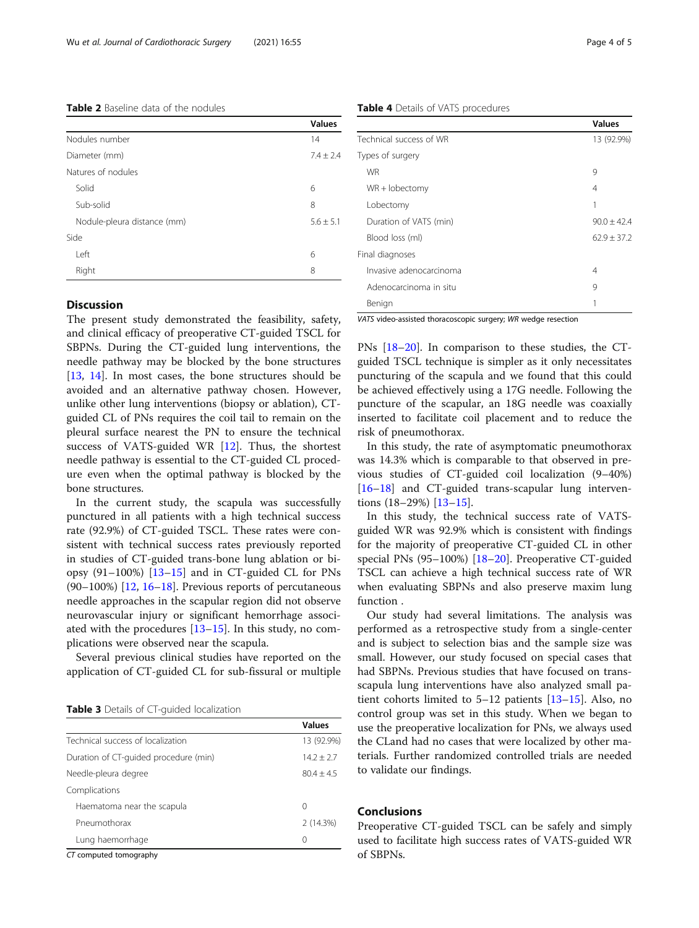#### <span id="page-3-0"></span>Table 2 Baseline data of the nodules

|                             | <b>Values</b> |
|-----------------------------|---------------|
| Nodules number              | 14            |
| Diameter (mm)               | $7.4 + 2.4$   |
| Natures of nodules          |               |
| Solid                       | 6             |
| Sub-solid                   | 8             |
| Nodule-pleura distance (mm) | $5.6 \pm 5.1$ |
| Side                        |               |
| Left                        | 6             |
| Right                       | 8             |

# **Discussion**

The present study demonstrated the feasibility, safety, and clinical efficacy of preoperative CT-guided TSCL for SBPNs. During the CT-guided lung interventions, the needle pathway may be blocked by the bone structures [[13,](#page-4-0) [14](#page-4-0)]. In most cases, the bone structures should be avoided and an alternative pathway chosen. However, unlike other lung interventions (biopsy or ablation), CTguided CL of PNs requires the coil tail to remain on the pleural surface nearest the PN to ensure the technical success of VATS-guided WR [\[12\]](#page-4-0). Thus, the shortest needle pathway is essential to the CT-guided CL procedure even when the optimal pathway is blocked by the bone structures.

In the current study, the scapula was successfully punctured in all patients with a high technical success rate (92.9%) of CT-guided TSCL. These rates were consistent with technical success rates previously reported in studies of CT-guided trans-bone lung ablation or biopsy  $(91-100\%)$  [\[13](#page-4-0)-[15\]](#page-4-0) and in CT-guided CL for PNs (90–100%)  $[12, 16-18]$  $[12, 16-18]$  $[12, 16-18]$  $[12, 16-18]$  $[12, 16-18]$ . Previous reports of percutaneous needle approaches in the scapular region did not observe neurovascular injury or significant hemorrhage associated with the procedures [\[13](#page-4-0)–[15\]](#page-4-0). In this study, no complications were observed near the scapula.

Several previous clinical studies have reported on the application of CT-guided CL for sub-fissural or multiple

|  |  | Table 3 Details of CT-guided localization |
|--|--|-------------------------------------------|
|  |  |                                           |

|                                                   | <b>Values</b> |
|---------------------------------------------------|---------------|
| Technical success of localization                 | 13 (92.9%)    |
| Duration of CT-quided procedure (min)             | $14.2 + 2.7$  |
| Needle-pleura degree                              | $80.4 + 4.5$  |
| Complications                                     |               |
| Haematoma near the scapula                        | 0             |
| Pneumothorax                                      | 2(14.3%)      |
| Lung haemorrhage                                  | 0             |
| $CT$ is a second standard and second state $\sim$ |               |

CT computed tomography

Table 4 Details of VATS procedures

|                         | Values          |
|-------------------------|-----------------|
| Technical success of WR | 13 (92.9%)      |
| Types of surgery        |                 |
| <b>WR</b>               | 9               |
| $WR + lobectomy$        | 4               |
| Lobectomy               |                 |
| Duration of VATS (min)  | $90.0 \pm 42.4$ |
| Blood loss (ml)         | $62.9 + 37.2$   |
| Final diagnoses         |                 |
| Invasive adenocarcinoma | 4               |
| Adenocarcinoma in situ  | 9               |
| Benign                  |                 |
|                         |                 |

VATS video-assisted thoracoscopic surgery; WR wedge resection

PNs [\[18](#page-4-0)–[20\]](#page-4-0). In comparison to these studies, the CTguided TSCL technique is simpler as it only necessitates puncturing of the scapula and we found that this could be achieved effectively using a 17G needle. Following the puncture of the scapular, an 18G needle was coaxially inserted to facilitate coil placement and to reduce the risk of pneumothorax.

In this study, the rate of asymptomatic pneumothorax was 14.3% which is comparable to that observed in previous studies of CT-guided coil localization (9–40%) [[16](#page-4-0)–[18](#page-4-0)] and CT-guided trans-scapular lung interventions (18–29%) [[13](#page-4-0)–[15](#page-4-0)].

In this study, the technical success rate of VATSguided WR was 92.9% which is consistent with findings for the majority of preoperative CT-guided CL in other special PNs (95–100%) [[18](#page-4-0)–[20](#page-4-0)]. Preoperative CT-guided TSCL can achieve a high technical success rate of WR when evaluating SBPNs and also preserve maxim lung function .

Our study had several limitations. The analysis was performed as a retrospective study from a single-center and is subject to selection bias and the sample size was small. However, our study focused on special cases that had SBPNs. Previous studies that have focused on transscapula lung interventions have also analyzed small patient cohorts limited to 5–12 patients [\[13](#page-4-0)–[15\]](#page-4-0). Also, no control group was set in this study. When we began to use the preoperative localization for PNs, we always used the CLand had no cases that were localized by other materials. Further randomized controlled trials are needed to validate our findings.

### Conclusions

Preoperative CT-guided TSCL can be safely and simply used to facilitate high success rates of VATS-guided WR of SBPNs.